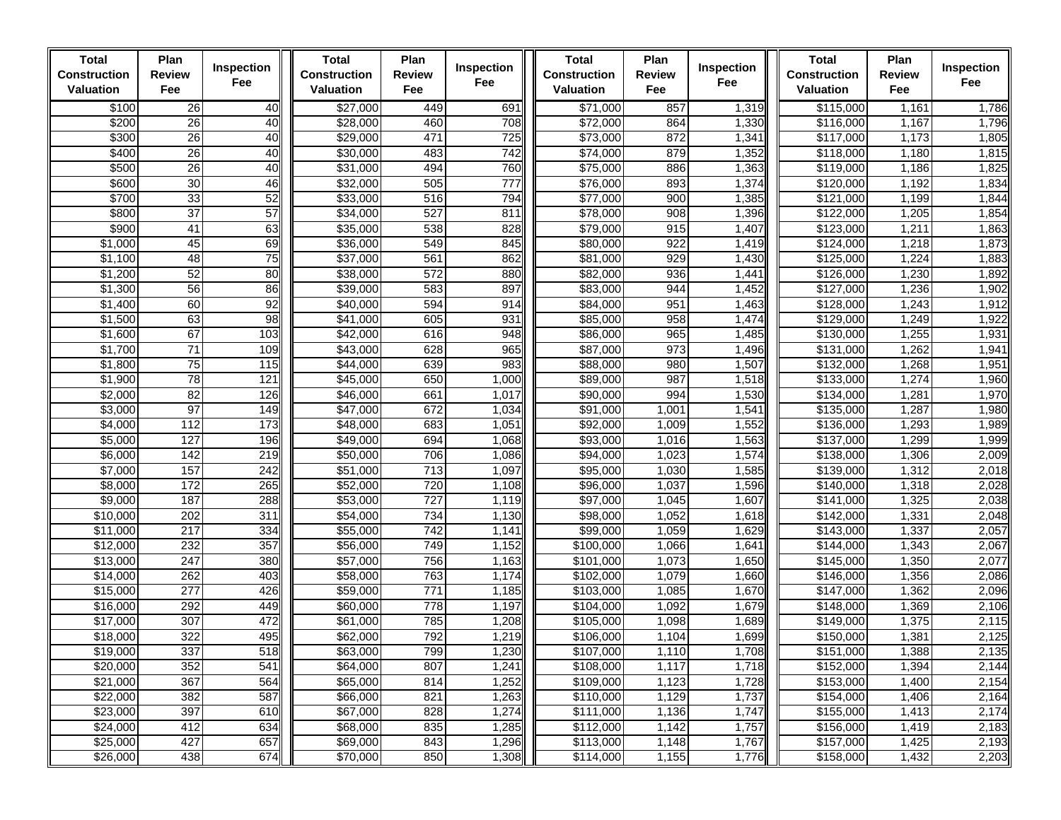| <b>Total</b><br><b>Construction</b><br><b>Valuation</b>                                      | Plan<br><b>Review</b><br>Fee                                | Inspection<br>Fee                                           | <b>Total</b><br><b>Construction</b><br>Valuation                                             | Plan<br><b>Review</b><br>Fee                         | Inspection<br>Fee                                                             | <b>Total</b><br><b>Construction</b><br><b>Valuation</b>                                              | Plan<br><b>Review</b><br>Fee                                                  | Inspection<br>Fee                                                             | <b>Total</b><br><b>Construction</b><br>Valuation                                                     | Plan<br><b>Review</b><br>Fee                                         | Inspection<br>Fee                                                             |
|----------------------------------------------------------------------------------------------|-------------------------------------------------------------|-------------------------------------------------------------|----------------------------------------------------------------------------------------------|------------------------------------------------------|-------------------------------------------------------------------------------|------------------------------------------------------------------------------------------------------|-------------------------------------------------------------------------------|-------------------------------------------------------------------------------|------------------------------------------------------------------------------------------------------|----------------------------------------------------------------------|-------------------------------------------------------------------------------|
| \$100                                                                                        | 26                                                          | 40                                                          | \$27,000                                                                                     | 449                                                  | 691                                                                           | \$71,000                                                                                             | 857                                                                           | 1,319                                                                         | \$115,000                                                                                            | 1,161                                                                | 1,786                                                                         |
| \$200                                                                                        | 26                                                          | 40                                                          | \$28,000                                                                                     | 460                                                  | 708                                                                           | \$72,000                                                                                             | 864                                                                           | 1,330                                                                         | $\overline{$}116,000$                                                                                | 1,167                                                                | 1,796                                                                         |
| \$300                                                                                        | 26                                                          | 40                                                          | \$29,000                                                                                     | 471                                                  | 725                                                                           | \$73,000                                                                                             | 872                                                                           | 1,341                                                                         | \$117,000                                                                                            | 1,173                                                                | 1,805                                                                         |
| \$400                                                                                        | 26                                                          | 40                                                          | \$30,000                                                                                     | 483                                                  | 742                                                                           | \$74,000                                                                                             | 879                                                                           | 1,352                                                                         | \$118,000                                                                                            | 1,180                                                                | 1,815                                                                         |
| \$500                                                                                        | 26                                                          | 40                                                          | \$31,000                                                                                     | 494                                                  | 760                                                                           | \$75,000                                                                                             | 886                                                                           | 1,363                                                                         | \$119,000                                                                                            | 1,186                                                                | 1,825                                                                         |
| \$600                                                                                        | 30                                                          | 46                                                          | \$32,000                                                                                     | 505                                                  | 777                                                                           | \$76,000                                                                                             | 893                                                                           | 1,374                                                                         | \$120,000                                                                                            | 1,192                                                                | 1,834                                                                         |
| \$700                                                                                        | 33                                                          | 52                                                          | \$33,000                                                                                     | 516                                                  | 794                                                                           | \$77,000                                                                                             | 900                                                                           | 1,385                                                                         | \$121,000                                                                                            | 1,199                                                                | 1,844                                                                         |
| \$800                                                                                        | 37                                                          | 57                                                          | \$34,000                                                                                     | 527                                                  | 811                                                                           | \$78,000                                                                                             | 908                                                                           | 1,396                                                                         | \$122,000                                                                                            | 1,205                                                                | 1,854                                                                         |
| \$900                                                                                        | 41                                                          | 63                                                          | \$35,000                                                                                     | 538                                                  | 828                                                                           | \$79,000                                                                                             | 915                                                                           | 1,407                                                                         | \$123,000                                                                                            | 1,211                                                                | 1,863                                                                         |
| \$1,000                                                                                      | 45                                                          | 69                                                          | \$36,000                                                                                     | 549                                                  | 845                                                                           | \$80,000                                                                                             | 922                                                                           | 1,419                                                                         | \$124,000                                                                                            | 1,218                                                                | 1,873                                                                         |
| \$1,100                                                                                      | 48                                                          | 75                                                          | \$37,000                                                                                     | 561                                                  | 862                                                                           | \$81,000                                                                                             | 929                                                                           | 1,430                                                                         | \$125,000                                                                                            | 1,224                                                                | 1,883                                                                         |
| \$1,200                                                                                      | 52                                                          | 80                                                          | \$38,000                                                                                     | 572                                                  | 880                                                                           | \$82,000                                                                                             | 936                                                                           | 1,441                                                                         | \$126,000                                                                                            | 1,230                                                                | 1,892                                                                         |
| \$1,300                                                                                      | 56                                                          | 86                                                          | \$39,000                                                                                     | 583                                                  | 897                                                                           | \$83,000                                                                                             | 944                                                                           | 1,452                                                                         | \$127,000                                                                                            | 1,236                                                                | 1,902                                                                         |
| \$1,400                                                                                      | 60                                                          | 92                                                          | \$40,000                                                                                     | 594                                                  | 914                                                                           | \$84,000                                                                                             | 951                                                                           | 1,463                                                                         | \$128,000                                                                                            | 1,243                                                                | 1,912                                                                         |
| \$1,500                                                                                      | 63<br>67                                                    | 98                                                          | \$41,000                                                                                     | 605<br>616                                           | 931<br>948                                                                    | \$85,000                                                                                             | 958                                                                           | 1,474                                                                         | \$129,000                                                                                            | 1,249                                                                | 1,922                                                                         |
| \$1,600<br>\$1,700                                                                           | 71                                                          | 103<br>109                                                  | \$42,000<br>\$43,000                                                                         | 628                                                  | 965                                                                           | \$86,000<br>\$87,000                                                                                 | 965<br>973                                                                    | 1,485<br>1,496                                                                | \$130,000<br>\$131,000                                                                               | 1,255<br>1,262                                                       | 1,931<br>1,941                                                                |
| \$1,800                                                                                      | 75                                                          | 115                                                         | \$44,000                                                                                     | 639                                                  | 983                                                                           | \$88,000                                                                                             | 980                                                                           | 1,507                                                                         | \$132,000                                                                                            | 1,268                                                                | 1,951                                                                         |
| \$1,900                                                                                      | 78                                                          | 121                                                         | \$45,000                                                                                     | 650                                                  | 1,000                                                                         | \$89,000                                                                                             | 987                                                                           | 1,518                                                                         | \$133,000                                                                                            | 1,274                                                                | 1,960                                                                         |
| \$2,000                                                                                      | 82                                                          | 126                                                         | \$46,000                                                                                     | 661                                                  | 1,017                                                                         | \$90,000                                                                                             | 994                                                                           | 1,530                                                                         | \$134,000                                                                                            | 1,281                                                                | 1,970                                                                         |
| \$3,000                                                                                      | 97                                                          | 149                                                         | \$47,000                                                                                     | 672                                                  | 1,034                                                                         | \$91,000                                                                                             | 1,001                                                                         | 1,541                                                                         | \$135,000                                                                                            | 1,287                                                                | 1,980                                                                         |
| \$4,000                                                                                      | 112                                                         | 173                                                         | \$48,000                                                                                     | 683                                                  | 1,051                                                                         | \$92,000                                                                                             | 1,009                                                                         | 1,552                                                                         | \$136,000                                                                                            | 1,293                                                                | 1,989                                                                         |
| \$5,000                                                                                      | 127                                                         | 196                                                         | \$49,000                                                                                     | 694                                                  | 1,068                                                                         | \$93,000                                                                                             | 1,016                                                                         | 1,563                                                                         | \$137,000                                                                                            | 1,299                                                                | 1,999                                                                         |
| \$6,000                                                                                      | $\frac{1}{142}$                                             | 219                                                         | \$50,000                                                                                     | 706                                                  | 1,086                                                                         | \$94,000                                                                                             | 1,023                                                                         | 1,574                                                                         | \$138,000                                                                                            | 1,306                                                                | 2,009                                                                         |
| \$7,000                                                                                      | 157                                                         | 242                                                         | \$51,000                                                                                     | $\overline{713}$                                     | 1,097                                                                         | \$95,000                                                                                             | 1,030                                                                         | 1,585                                                                         | \$139,000                                                                                            | 1,312                                                                | 2,018                                                                         |
| \$8,000                                                                                      | 172                                                         | 265                                                         | \$52,000                                                                                     | 720                                                  | 1,108                                                                         | \$96,000                                                                                             | 1,037                                                                         | 1,596                                                                         | $\overline{$}140,000$                                                                                | 1,318                                                                | 2,028                                                                         |
| \$9,000                                                                                      | 187                                                         | 288                                                         | \$53,000                                                                                     | 727                                                  | 1,119                                                                         | \$97,000                                                                                             | 1,045                                                                         | 1,607                                                                         | \$141,000                                                                                            | 1,325                                                                | 2,038                                                                         |
| \$10,000                                                                                     | 202                                                         | 311                                                         | \$54,000                                                                                     | 734                                                  | 1,130                                                                         | \$98,000                                                                                             | 1,052                                                                         | 1,618                                                                         | \$142,000                                                                                            | 1,331                                                                | 2,048                                                                         |
| \$11,000                                                                                     | 217                                                         | 334                                                         | \$55,000                                                                                     | 742                                                  | 1,141                                                                         | \$99,000                                                                                             | 1,059                                                                         | 1,629                                                                         | \$143,000                                                                                            | 1,337                                                                | 2,057                                                                         |
| \$12,000                                                                                     | 232                                                         | 357                                                         | \$56,000                                                                                     | 749                                                  | 1,152                                                                         | \$100,000                                                                                            | 1,066                                                                         | 1,641                                                                         | \$144,000                                                                                            | 1,343                                                                | 2,067                                                                         |
| \$13,000                                                                                     | 247                                                         | 380                                                         | \$57,000                                                                                     | 756                                                  | 1,163                                                                         | \$101,000                                                                                            | 1,073                                                                         | 1,650                                                                         | \$145,000                                                                                            | 1,350                                                                | 2,077                                                                         |
| \$14,000                                                                                     | 262                                                         | 403                                                         | \$58,000                                                                                     | 763                                                  | 1,174                                                                         | \$102,000                                                                                            | 1,079                                                                         | 1,660                                                                         | \$146,000                                                                                            | 1,356                                                                | 2,086                                                                         |
| \$15,000                                                                                     | 277                                                         | 426                                                         | \$59,000                                                                                     | 771                                                  | 1,185                                                                         | \$103,000                                                                                            | 1,085                                                                         | 1,670                                                                         | \$147,000                                                                                            | 1,362                                                                | 2,096                                                                         |
| \$16,000                                                                                     | 292                                                         | 449                                                         | \$60,000                                                                                     | 778                                                  | 1,197                                                                         | \$104,000                                                                                            | 1,092                                                                         | 1,679                                                                         | $\sqrt{$148,000}$                                                                                    | 1,369                                                                | 2,106                                                                         |
| \$17,000                                                                                     | 307                                                         | 472                                                         | \$61,000                                                                                     | 785                                                  | 1,208                                                                         | \$105,000                                                                                            | 1,098                                                                         | 1,689                                                                         | \$149,000                                                                                            | 1,375                                                                | 2,115                                                                         |
|                                                                                              |                                                             |                                                             |                                                                                              |                                                      |                                                                               |                                                                                                      |                                                                               |                                                                               |                                                                                                      |                                                                      |                                                                               |
| \$19,000                                                                                     |                                                             |                                                             | \$63,000                                                                                     | 799                                                  |                                                                               | \$107,000                                                                                            |                                                                               |                                                                               | \$151,000                                                                                            | 1,388                                                                |                                                                               |
|                                                                                              |                                                             |                                                             |                                                                                              |                                                      |                                                                               |                                                                                                      |                                                                               |                                                                               |                                                                                                      |                                                                      |                                                                               |
|                                                                                              |                                                             |                                                             |                                                                                              |                                                      |                                                                               |                                                                                                      |                                                                               |                                                                               |                                                                                                      |                                                                      |                                                                               |
|                                                                                              |                                                             |                                                             |                                                                                              |                                                      |                                                                               |                                                                                                      |                                                                               |                                                                               |                                                                                                      |                                                                      |                                                                               |
|                                                                                              |                                                             |                                                             |                                                                                              |                                                      |                                                                               |                                                                                                      |                                                                               |                                                                               |                                                                                                      |                                                                      |                                                                               |
|                                                                                              |                                                             |                                                             |                                                                                              |                                                      |                                                                               |                                                                                                      |                                                                               |                                                                               |                                                                                                      |                                                                      |                                                                               |
|                                                                                              |                                                             |                                                             |                                                                                              |                                                      |                                                                               |                                                                                                      |                                                                               |                                                                               |                                                                                                      |                                                                      |                                                                               |
| \$18,000<br>\$20,000<br>\$21,000<br>\$22,000<br>\$23,000<br>\$24,000<br>\$25,000<br>\$26,000 | 322<br>337<br>352<br>367<br>382<br>397<br>412<br>427<br>438 | 495<br>518<br>541<br>564<br>587<br>610<br>634<br>657<br>674 | \$62,000<br>\$64,000<br>\$65,000<br>\$66,000<br>\$67,000<br>\$68,000<br>\$69,000<br>\$70,000 | 792<br>807<br>814<br>821<br>828<br>835<br>843<br>850 | 1,219<br>1,230<br>1,241<br>1,252<br>1,263<br>1,274<br>1,285<br>1,296<br>1,308 | \$106,000<br>\$108,000<br>\$109,000<br>\$110,000<br>\$111,000<br>\$112,000<br>\$113,000<br>\$114,000 | 1,104<br>1,110<br>1,117<br>1,123<br>1,129<br>1,136<br>1,142<br>1,148<br>1,155 | 1,699<br>1,708<br>1,718<br>1,728<br>1,737<br>1,747<br>1,757<br>1,767<br>1,776 | \$150,000<br>\$152,000<br>\$153,000<br>\$154,000<br>\$155,000<br>\$156,000<br>\$157,000<br>\$158,000 | 1,381<br>1,394<br>1,400<br>1,406<br>1,413<br>1,419<br>1,425<br>1,432 | 2,125<br>2,135<br>2,144<br>2,154<br>2,164<br>2,174<br>2,183<br>2,193<br>2,203 |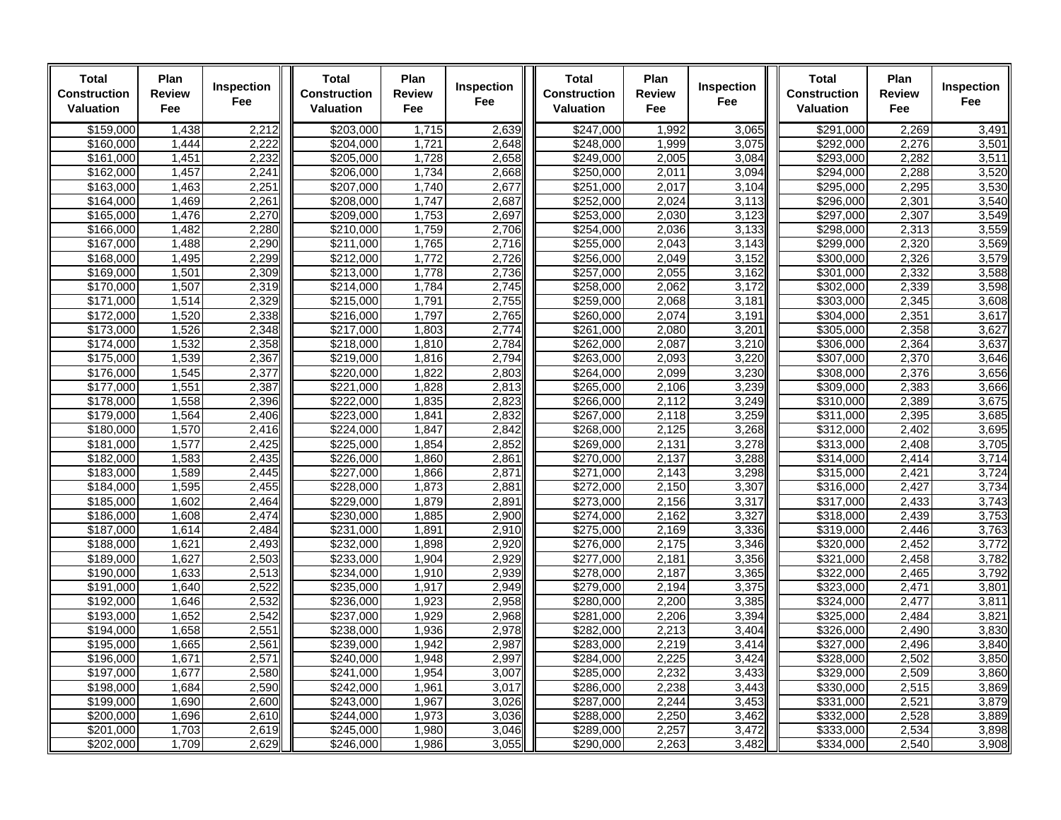| <b>Total</b><br>Construction<br><b>Valuation</b> | Plan<br>Review<br>Fee | Inspection<br><b>Fee</b> | <b>Total</b><br><b>Construction</b><br><b>Valuation</b> | Plan<br><b>Review</b><br>Fee | Inspection<br>Fee | <b>Total</b><br><b>Construction</b><br><b>Valuation</b> | Plan<br><b>Review</b><br>Fee | Inspection<br>Fee | <b>Total</b><br><b>Construction</b><br>Valuation | Plan<br><b>Review</b><br>Fee | Inspection<br>Fee |
|--------------------------------------------------|-----------------------|--------------------------|---------------------------------------------------------|------------------------------|-------------------|---------------------------------------------------------|------------------------------|-------------------|--------------------------------------------------|------------------------------|-------------------|
| \$159,000                                        | 1,438                 | 2,212                    | \$203,000                                               | 1,715                        | 2,639             | \$247,000                                               | 1,992                        | 3,065             | \$291,000                                        | 2,269                        | 3,491             |
| \$160,000                                        | 1.444                 | 2,222                    | \$204.000                                               | 1.721                        | 2.648             | \$248.000                                               | 1.999                        | 3.075             | \$292.000                                        | 2,276                        | 3,501             |
| \$161,000                                        | 1,451                 | 2,232                    | \$205,000                                               | 1,728                        | 2,658             | \$249,000                                               | 2,005                        | 3,084             | \$293,000                                        | 2,282                        | 3,511             |
| \$162,000                                        | 1,457                 | 2,241                    | \$206,000                                               | 1,734                        | 2,668             | \$250,000                                               | 2,011                        | 3,094             | \$294,000                                        | 2,288                        | 3,520             |
| \$163,000                                        | 1,463                 | 2,251                    | \$207,000                                               | 1,740                        | 2,677             | \$251,000                                               | 2,017                        | 3,104             | \$295,000                                        | 2,295                        | 3,530             |
| \$164,000                                        | 1,469                 | 2,261                    | \$208,000                                               | 1.747                        | 2,687             | $\overline{$252,000}$                                   | 2,024                        | 3,113             | \$296,000                                        | 2,301                        | 3,540             |
| \$165,000                                        | 1,476                 | 2,270                    | \$209,000                                               | 1,753                        | 2,697             | \$253,000                                               | 2,030                        | 3,123             | \$297,000                                        | 2,307                        | 3,549             |
| \$166,000                                        | 1,482                 | 2,280                    | \$210,000                                               | 1,759                        | 2,706             | \$254,000                                               | 2,036                        | 3,133             | \$298,000                                        | 2,313                        | 3,559             |
| \$167,000                                        | 1,488                 | 2,290                    | \$211,000                                               | 1,765                        | 2,716             | \$255,000                                               | 2,043                        | 3,143             | \$299,000                                        | 2,320                        | 3,569             |
| \$168,000                                        | 1,495                 | 2,299                    | \$212,000                                               | 1,772                        | 2,726             | \$256,000                                               | 2,049                        | 3,152             | \$300,000                                        | 2,326                        | 3,579             |
| \$169,000                                        | 1,501                 | 2,309                    | \$213,000                                               | 1,778                        | 2,736             | \$257,000                                               | 2,055                        | 3,162             | \$301,000                                        | 2,332                        | 3,588             |
| \$170.000<br>\$171,000                           | 1,507<br>1,514        | 2,319<br>2,329           | \$214,000<br>\$215,000                                  | 1,784<br>1,791               | 2,745<br>2,755    | \$258,000<br>\$259,000                                  | 2,062<br>2,068               | 3,172<br>3,181    | \$302.000<br>\$303.000                           | 2,339<br>2,345               | 3,598<br>3,608    |
| \$172,000                                        | 1,520                 | 2,338                    | \$216,000                                               | 1,797                        | 2,765             | \$260,000                                               | 2,074                        | 3,191             | $\overline{$}304,000$                            | 2,351                        | 3,617             |
| \$173,000                                        | 1,526                 | 2,348                    | \$217.000                                               | 1,803                        | 2,774             | \$261,000                                               | 2,080                        | 3,201             | \$305.000                                        | 2,358                        | 3,627             |
| \$174,000                                        | 1,532                 | 2,358                    | \$218,000                                               | 1,810                        | 2,784             | $\frac{1}{262,000}$                                     | 2,087                        | 3,210             | \$306,000                                        | 2,364                        | 3,637             |
| \$175,000                                        | 1,539                 | 2,367                    | \$219,000                                               | 1,816                        | 2,794             | \$263,000                                               | 2,093                        | 3,220             | \$307.000                                        | 2,370                        | 3,646             |
| \$176,000                                        | 1,545                 | 2,377                    | \$220,000                                               | 1,822                        | 2,803             | \$264,000                                               | 2,099                        | 3,230             | \$308,000                                        | 2,376                        | 3,656             |
| \$177,000                                        | 1,551                 | 2,387                    | \$221,000                                               | 1,828                        | 2,813             | \$265,000                                               | 2,106                        | 3,239             | \$309,000                                        | 2,383                        | 3,666             |
| \$178,000                                        | 1,558                 | 2,396                    | \$222,000                                               | 1,835                        | 2,823             | \$266,000                                               | 2,112                        | 3,249             | \$310,000                                        | 2,389                        | 3,675             |
| \$179,000                                        | 1,564                 | 2,406                    | \$223,000                                               | 1,841                        | 2,832             | \$267,000                                               | 2,118                        | 3,259             | \$311,000                                        | 2,395                        | 3,685             |
| \$180,000                                        | 1,570                 | 2,416                    | \$224.000                                               | 1.847                        | 2.842             | \$268.000                                               | 2.125                        | 3,268             | \$312.000                                        | 2.402                        | 3.695             |
| \$181,000                                        | 1,577                 | 2,425                    | \$225,000                                               | 1,854                        | 2,852             | \$269,000                                               | 2,131                        | 3,278             | \$313,000                                        | 2,408                        | 3,705             |
| \$182,000                                        | 1,583                 | 2,435                    | \$226,000                                               | 1,860                        | 2,861             | $\sqrt{270,000}$                                        | 2,137                        | 3,288             | \$314,000                                        | 2,414                        | 3,714             |
| \$183,000                                        | 1,589                 | 2,445                    | \$227,000                                               | 1,866                        | 2,871             | \$271,000                                               | 2,143                        | 3,298             | \$315.000                                        | 2,421                        | 3,724             |
| \$184,000                                        | 1,595                 | 2,455                    | \$228,000                                               | 1,873                        | 2,881             | \$272,000                                               | 2,150                        | 3,307             | \$316,000                                        | 2,427                        | 3,734             |
| \$185,000                                        | 1,602                 | 2,464                    | \$229,000                                               | 1,879                        | 2,891             | \$273,000                                               | 2,156                        | 3,317             | \$317,000                                        | 2,433                        | 3,743             |
| \$186,000                                        | 1,608                 | 2,474                    | \$230,000                                               | 1,885                        | 2,900             | \$274,000                                               | 2.162                        | 3,327             | \$318,000                                        | 2,439                        | 3,753             |
| \$187,000                                        | 1,614                 | 2,484                    | \$231,000                                               | 1,891                        | 2,910             | \$275,000                                               | 2,169                        | 3,336             | \$319,000                                        | 2,446                        | 3,763             |
| \$188,000                                        | 1,621                 | 2,493                    | \$232,000                                               | 1,898                        | 2,920             | \$276,000                                               | 2,175                        | 3,346             | \$320,000                                        | 2,452                        | 3,772             |
| \$189,000                                        | 1,627                 | 2,503                    | \$233,000                                               | 1,904                        | 2,929             | \$277,000                                               | 2,181                        | 3,356             | \$321,000                                        | 2,458                        | 3,782             |
| \$190,000                                        | 1,633                 | 2,513                    | \$234,000                                               | 1,910                        | 2,939             | \$278,000                                               | 2,187                        | 3,365             | \$322,000                                        | 2,465                        | 3,792             |
| \$191.000<br>\$192,000                           | 1,640                 | 2,522                    | \$235,000                                               | 1,917<br>1,923               | 2,949<br>2,958    | \$279,000<br>\$280,000                                  | 2,194<br>2,200               | 3,375<br>3,385    | \$323,000<br>\$324,000                           | 2,471<br>2,477               | 3,801<br>3,811    |
| \$193,000                                        | 1,646<br>1,652        | 2,532<br>2,542           | \$236,000                                               | 1,929                        | 2,968             | \$281.000                                               | 2,206                        | 3,394             | \$325.000                                        | 2,484                        | 3,821             |
| \$194,000                                        | 1,658                 | 2,551                    | \$237,000<br>\$238,000                                  | 1,936                        | 2,978             | \$282,000                                               | 2,213                        | 3,404             | \$326,000                                        | 2,490                        | 3,830             |
| \$195,000                                        | 1,665                 | 2,561                    | \$239,000                                               | 1,942                        | 2,987             | \$283,000                                               | 2,219                        | 3,414             | \$327,000                                        | 2,496                        | 3,840             |
| \$196,000                                        | 1,671                 | 2,571                    | \$240.000                                               | 1,948                        | 2,997             | \$284.000                                               | 2,225                        | 3,424             | \$328,000                                        | 2,502                        | 3,850             |
| $\frac{1}{197,000}$                              | 1,677                 | 2,580                    | $\sqrt{$241,000}$                                       | 1,954                        | 3,007             | \$285,000                                               | 2,232                        | 3,433             | \$329,000                                        | 2,509                        | 3,860             |
| \$198,000                                        | 1,684                 | 2,590                    | \$242,000                                               | 1,96'                        | 3,017             | \$286,000                                               | 2,238                        | 3,443             | \$330,000                                        | 2,515                        | 3,869             |
| \$199,000                                        | 1,690                 | 2,600                    | \$243,000                                               | 1,967                        | 3,026             | \$287,000                                               | 2,244                        | 3,453             | \$331,000                                        | 2,521                        | 3,879             |
| \$200.000                                        | 1,696                 | 2,610                    | \$244,000                                               | 1,973                        | 3,036             | \$288,000                                               | 2,250                        | 3,462             | \$332,000                                        | 2,528                        | 3,889             |
| \$201,000                                        | 1,703                 | 2,619                    | \$245,000                                               | 1,980                        | 3,046             | \$289,000                                               | 2,257                        | 3,472             | \$333,000                                        | 2,534                        | 3,898             |
| \$202,000                                        | 1,709                 | 2,629                    | \$246,000                                               | 1,986                        | 3,055             | \$290,000                                               | 2,263                        | 3,482             | \$334,000                                        | 2,540                        | 3,908             |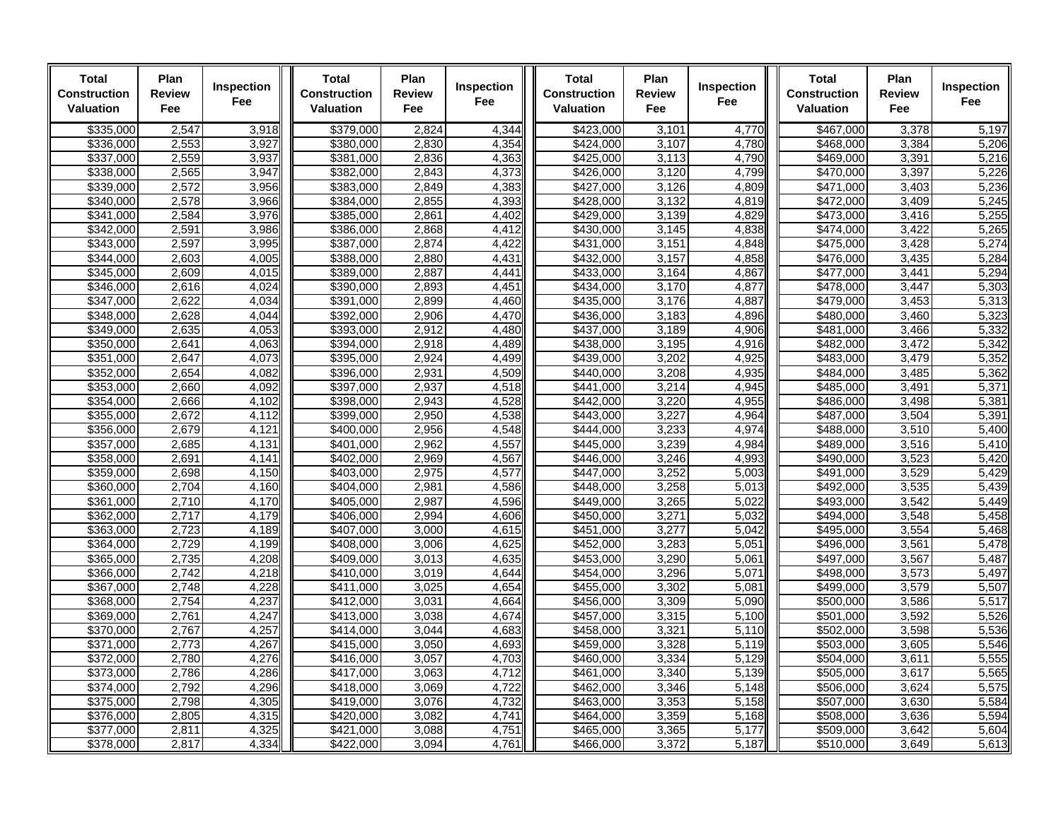| <b>Total</b><br><b>Construction</b><br><b>Valuation</b> | Plan<br>Review<br>Fee | Inspection<br>Fee | <b>Total</b><br><b>Construction</b><br><b>Valuation</b> | Plan<br><b>Review</b><br>Fee | Inspection<br>Fee | <b>Total</b><br>Construction<br><b>Valuation</b> | Plan<br><b>Review</b><br>Fee | Inspection<br>Fee | <b>Total</b><br><b>Construction</b><br>Valuation | Plan<br><b>Review</b><br>Fee | Inspection<br>Fee |
|---------------------------------------------------------|-----------------------|-------------------|---------------------------------------------------------|------------------------------|-------------------|--------------------------------------------------|------------------------------|-------------------|--------------------------------------------------|------------------------------|-------------------|
| \$335.000                                               | 2,547                 | 3,918             | \$379.000                                               | 2,824                        | 4,344             | \$423.000                                        | 3,101                        | 4,770             | \$467.000                                        | 3,378                        | 5,197             |
| \$336,000                                               | 2,553                 | 3,927             | 380,000                                                 | 2,830                        | 4.354             | \$424.000                                        | 3,107                        | 4.780             | \$468,000                                        | 3,384                        | 5,206             |
| \$337,000                                               | 2,559                 | 3,937             | \$381,000                                               | 2,836                        | 4,363             | \$425,000                                        | 3,113                        | 4,790             | \$469,000                                        | 3,391                        | 5,216             |
| \$338,000                                               | 2,565                 | 3,947             | \$382,000                                               | 2,843                        | 4,373             | \$426,000                                        | 3,120                        | 4,799             | \$470,000                                        | 3,397                        | 5,226             |
| \$339,000                                               | 2,572                 | 3,956             | \$383,000                                               | 2,849                        | 4,383             | \$427,000                                        | 3,126                        | 4,809             | \$471,000                                        | 3,403                        | 5,236             |
| \$340,000                                               | 2,578                 | 3,966             | \$384,000                                               | 2,855                        | 4,393             | $\frac{1}{1}428,000$                             | 3,132                        | 4,819             | \$472,000                                        | 3,409                        | 5,245             |
| \$341,000                                               | 2,584                 | 3,976             | \$385,000                                               | 2,861                        | 4,402             | \$429,000                                        | 3,139                        | 4,829             | \$473,000                                        | 3,416                        | 5,255             |
| \$342.000                                               | 2,591                 | 3,986             | \$386.000                                               | 2,868                        | 4,412             | \$430.000                                        | 3,145                        | 4,838             | \$474.000                                        | 3,422                        | 5,265             |
| \$343,000                                               | 2,597                 | 3,995             | \$387,000                                               | 2,874                        | 4,422             | \$431,000                                        | 3,151                        | 4,848             | \$475,000                                        | 3,428                        | 5,274             |
| \$344,000                                               | 2,603                 | 4,005             | \$388,000                                               | 2,880                        | 4,431             | \$432,000                                        | 3,157                        | 4,858             | \$476,000                                        | 3,435                        | 5,284             |
| \$345,000                                               | 2,609                 | 4,015             | \$389,000                                               | 2,887                        | 4,441             | \$433,000                                        | 3,164                        | 4,867             | \$477,000                                        | 3,441                        | 5,294             |
| \$346,000                                               | 2,616                 | 4,024             | \$390,000                                               | 2,893                        | 4,451             | \$434,000                                        | 3,170                        | 4,877             | \$478,000                                        | 3,447                        | 5,303             |
| \$347,000                                               | 2,622                 | 4,034             | \$391,000                                               | 2,899                        | 4,460             | \$435,000                                        | 3,176                        | 4,887             | \$479,000                                        | 3,453                        | 5,313             |
| \$348,000                                               | 2,628                 | 4,044             | \$392,000                                               | 2,906                        | 4,470             | \$436,000                                        | 3,183                        | 4,896             | \$480,000                                        | 3,460                        | 5,323             |
| \$349,000                                               | 2,635                 | 4,053             | \$393,000                                               | 2,912                        | 4,480             | \$437,000                                        | 3,189                        | 4,906             | \$481,000                                        | 3,466                        | 5,332             |
| \$350,000                                               | 2,641                 | 4,063             | \$394,000                                               | 2,918                        | 4,489             | \$438,000                                        | 3,195                        | 4,916             | \$482,000                                        | 3,472                        | 5,342             |
| \$351,000                                               | 2,647                 | 4,073             | \$395.000                                               | 2,924                        | 4,499             | \$439.000                                        | 3,202                        | 4,925             | \$483.000                                        | 3,479                        | 5,352             |
| \$352,000                                               | 2,654                 | 4,082             | \$396,000                                               | 2,931                        | 4,509             | \$440.000                                        | 3,208                        | 4,935             | \$484.000                                        | 3,485                        | 5,362             |
| \$353,000<br>\$354,000                                  | 2,660<br>2,666        | 4,092<br>4,102    | \$397,000<br>\$398,000                                  | 2,937<br>2,943               | 4,518<br>4,528    | \$441,000<br>\$442,000                           | 3,214<br>3,220               | 4,945<br>4,955    | \$485,000                                        | 3,491                        | 5,371<br>5,381    |
| \$355,000                                               | 2,672                 | 4,112             | \$399,000                                               | 2,950                        | 4,538             | \$443,000                                        | 3,227                        | 4,964             | \$486,000<br>\$487,000                           | 3,498<br>3,504               | 5,391             |
|                                                         | 2,679                 | 4,121             | $\overline{$400,000}$                                   |                              |                   |                                                  | 3,233                        | 4,974             |                                                  |                              | 5,400             |
| \$356,000<br>\$357,000                                  | 2,685                 | 4,131             | \$401,000                                               | 2,956<br>2,962               | 4,548<br>4,557    | \$444,000<br>\$445.000                           | 3,239                        | 4,984             | \$488,000<br>\$489.000                           | 3,510<br>3,516               | 5,410             |
| \$358,000                                               | 2,691                 | 4,141             | \$402,000                                               | 2,969                        | 4,567             | \$446.000                                        | 3,246                        | 4,993             | \$490.000                                        | 3,523                        | 5,420             |
| \$359,000                                               | 2,698                 | 4,150             | \$403,000                                               | 2,975                        | 4,577             | \$447,000                                        | 3,252                        | 5,003             | \$491,000                                        | 3,529                        | 5,429             |
| \$360.000                                               | 2,704                 | 4,160             | \$404,000                                               | 2,981                        | 4,586             | \$448.000                                        | 3,258                        | 5,013             | \$492.000                                        | 3,535                        | 5,439             |
| \$361,000                                               | 2,710                 | 4,170             | \$405,000                                               | 2,987                        | 4,596             | \$449.000                                        | 3,265                        | 5.022             | \$493,000                                        | 3,542                        | 5,449             |
| \$362,000                                               | 2,717                 | 4,179             | \$406,000                                               | 2,994                        | 4,606             | \$450,000                                        | 3,271                        | 5.032             | \$494,000                                        | 3,548                        | 5,458             |
| \$363,000                                               | 2,723                 | 4,189             | \$407,000                                               | 3,000                        | 4,615             | \$451,000                                        | 3,277                        | 5,042             | \$495,000                                        | 3,554                        | 5,468             |
| \$364,000                                               | 2,729                 | 4,199             | \$408,000                                               | 3,006                        | 4,625             | \$452,000                                        | 3,283                        | 5,051             | \$496,000                                        | 3,561                        | 5,478             |
| \$365,000                                               | 2,735                 | 4,208             | \$409,000                                               | 3,013                        | 4,635             | \$453,000                                        | 3,290                        | 5,061             | \$497,000                                        | 3,567                        | 5,487             |
| \$366,000                                               | 2,742                 | 4,218             | \$410,000                                               | 3,019                        | 4,644             | \$454,000                                        | 3,296                        | 5,071             | \$498,000                                        | 3,573                        | 5,497             |
| \$367.000                                               | 2.748                 | 4,228             | $\frac{1}{1000}$                                        | 3,025                        | 4,654             | \$455.000                                        | 3,302                        | 5.081             | \$499.000                                        | 3,579                        | 5,507             |
| \$368,000                                               | 2,754                 | 4,237             | \$412,000                                               | 3,031                        | 4,664             | \$456,000                                        | 3,309                        | 5,090             | \$500,000                                        | 3,586                        | 5,517             |
| \$369,000                                               | 2,761                 | 4,247             | \$413,000                                               | 3,038                        | 4,674             | $\frac{1}{1}$ \$457,000                          | 3,315                        | 5,100             | \$501,000                                        | 3,592                        | 5,526             |
| \$370,000                                               | 2,767                 | 4,257             | \$414,000                                               | 3,044                        | 4,683             | \$458,000                                        | 3,321                        | 5,110             | \$502,000                                        | 3,598                        | 5,536             |
| \$371,000                                               | 2,773                 | 4,267             | \$415,000                                               | 3,050                        | 4,693             | \$459,000                                        | 3,328                        | 5,119             | \$503,000                                        | 3,605                        | 5,546             |
| \$372,000                                               | 2,780                 | 4,276             | \$416,000                                               | 3,057                        | 4,703             | \$460,000                                        | 3,334                        | 5,129             | \$504,000                                        | 3,611                        | 5,555             |
| \$373,000                                               | 2,786                 | 4,286             | \$417,000                                               | 3,063                        | 4,712             | \$461.000                                        | 3,340                        | 5,139             | \$505,000                                        | 3,617                        | 5,565             |
| \$374,000                                               | 2,792                 | 4,296             | \$418,000                                               | 3,069                        | 4,722             | \$462,000                                        | 3,346                        | 5,148             | \$506,000                                        | 3,624                        | 5,575             |
| \$375,000                                               | 2,798                 | 4,305             | \$419,000                                               | 3,076                        | 4,732             | \$463,000                                        | 3,353                        | 5,158             | \$507,000                                        | 3,630                        | 5,584             |
| \$376,000                                               | 2,805                 | 4,315             | \$420,000                                               | 3.082                        | 4,741             | \$464,000                                        | 3,359                        | 5,168             | \$508,000                                        | 3,636                        | 5,594             |
| \$377,000                                               | 2,811                 | 4,325             | \$421,000                                               | 3,088                        | 4,751             | \$465.000                                        | 3,365                        | 5,177             | \$509,000                                        | 3,642                        | 5,604             |
| \$378,000                                               | 2,817                 | 4,334             | \$422,000                                               | 3,094                        | 4,761             | \$466,000                                        | 3,372                        | 5,187             | \$510,000                                        | 3,649                        | 5,613             |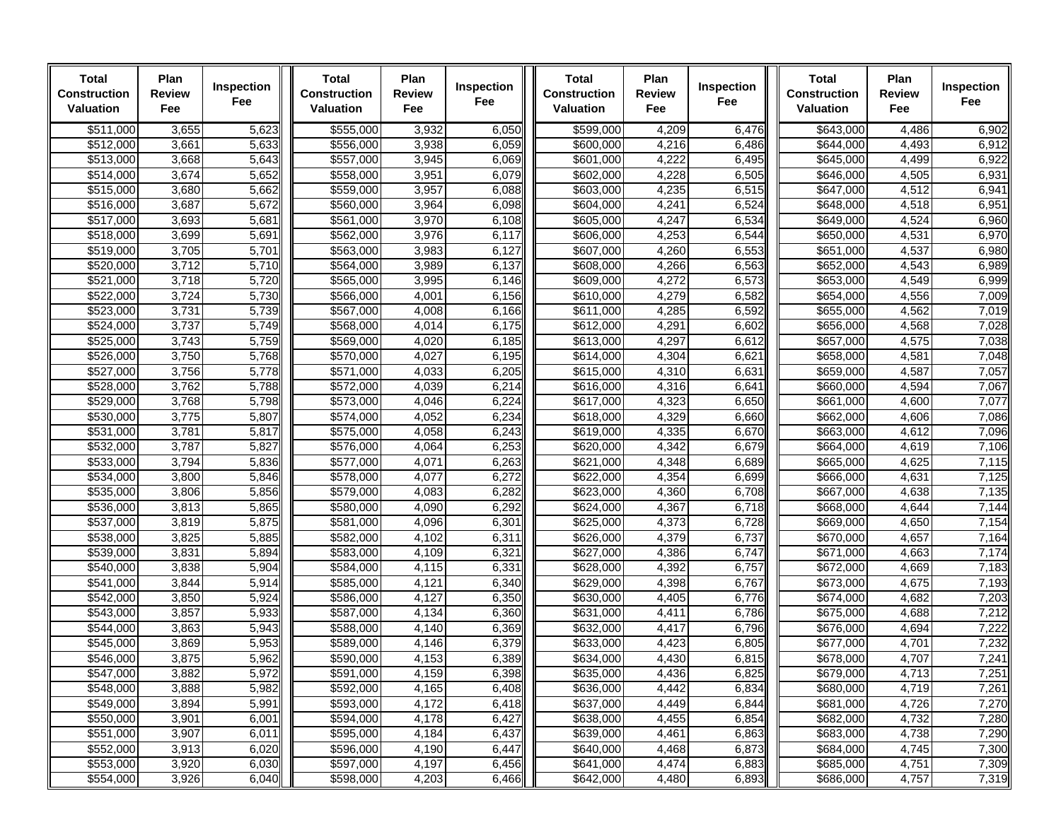| <b>Total</b><br><b>Construction</b><br>Valuation | Plan<br><b>Review</b><br>Fee | Inspection<br>Fee | Total<br><b>Construction</b><br>Valuation | Plan<br><b>Review</b><br>Fee | Inspection<br>Fee | Total<br><b>Construction</b><br>Valuation | Plan<br><b>Review</b><br>Fee | Inspection<br>Fee | Total<br><b>Construction</b><br>Valuation | Plan<br><b>Review</b><br>Fee | Inspection<br>Fee |
|--------------------------------------------------|------------------------------|-------------------|-------------------------------------------|------------------------------|-------------------|-------------------------------------------|------------------------------|-------------------|-------------------------------------------|------------------------------|-------------------|
| \$511,000                                        | 3,655                        | 5,623             | \$555,000                                 | 3,932                        | 6,050             | \$599,000                                 | 4,209                        | 6,476             | \$643,000                                 | 4,486                        | 6,902             |
| \$512,000                                        | 3,661                        | 5,633             | \$556,000                                 | 3,938                        | 6,059             | \$600,000                                 | 4,216                        | 6,486             | \$644,000                                 | 4,493                        | 6,912             |
| \$513,000                                        | 3,668                        | 5,643             | \$557,000                                 | 3,945                        | 6,069             | \$601,000                                 | 4,222                        | 6,495             | \$645,000                                 | 4,499                        | 6,922             |
| \$514,000                                        | 3,674                        | 5,652             | \$558,000                                 | 3,951                        | 6,079             | \$602,000                                 | 4,228                        | 6,505             | \$646,000                                 | 4,505                        | 6,931             |
| \$515,000                                        | 3,680                        | 5,662             | \$559,000                                 | 3,957                        | 6,088             | \$603,000                                 | 4,235                        | 6,515             | \$647,000                                 | 4,512                        | 6,941             |
| \$516,000                                        | 3,687                        | 5,672             | \$560,000                                 | 3,964                        | 6,098             | \$604,000                                 | 4,241                        | 6,524             | $\overline{$648,000}$                     | 4,518                        | 6,951             |
| \$517,000                                        | 3,693                        | 5,681             | \$561,000                                 | 3,970                        | 6,108             | \$605,000                                 | 4,247                        | 6,534             | \$649,000                                 | 4,524                        | 6,960             |
| \$518,000                                        | 3,699                        | 5,691             | \$562,000                                 | 3,976                        | 6,117             | \$606,000                                 | 4,253                        | 6,544             | \$650,000                                 | 4,531                        | 6,970             |
| \$519,000                                        | 3,705                        | 5,701             | \$563,000                                 | 3,983                        | 6,127             | \$607,000                                 | 4,260                        | 6,553             | \$651,000                                 | 4,537                        | 6,980             |
| \$520,000<br>\$521,000                           | 3,712<br>3,718               | 5,710<br>5,720    | \$564,000<br>\$565,000                    | 3,989<br>3,995               | 6,137<br>6,146    | \$608,000<br>\$609,000                    | 4,266<br>4,272               | 6,563<br>6,573    | \$652,000<br>\$653,000                    | 4,543<br>4,549               | 6,989             |
| \$522,000                                        | 3,724                        | 5,730             | \$566,000                                 | 4,001                        | 6,156             | \$610,000                                 | 4,279                        | 6,582             | \$654,000                                 | 4,556                        | 6,999<br>7,009    |
| \$523,000                                        | 3,731                        | 5,739             | \$567,000                                 | 4,008                        | 6,166             | \$611,000                                 | 4,285                        | 6,592             | \$655,000                                 | 4,562                        | 7,019             |
| \$524,000                                        | 3,737                        | 5,749             | \$568,000                                 | 4,014                        | 6,175             | \$612,000                                 | 4,291                        | 6,602             | \$656,000                                 | 4,568                        | 7,028             |
| \$525,000                                        | 3,743                        | 5,759             | \$569,000                                 | 4,020                        | 6,185             | \$613,000                                 | 4,297                        | 6,612             | \$657,000                                 | 4,575                        | 7,038             |
| \$526,000                                        | 3,750                        | 5,768             | \$570,000                                 | 4,027                        | 6,195             | $\frac{1}{66}$ 14,000                     | 4,304                        | 6,621             | \$658,000                                 | 4,581                        | 7,048             |
| \$527,000                                        | 3,756                        | 5,778             | \$571,000                                 | 4,033                        | 6,205             | \$615,000                                 | 4,310                        | 6,631             | $\overline{$659,000}$                     | 4,587                        | 7,057             |
| \$528,000                                        | 3,762                        | 5,788             | \$572,000                                 | 4,039                        | 6,214             | $\overline{$616,000}$                     | 4,316                        | 6,641             | \$660,000                                 | 4,594                        | 7,067             |
| \$529,000                                        | 3,768                        | 5,798             | \$573,000                                 | 4,046                        | 6,224             | \$617,000                                 | 4,323                        | 6,650             | \$661,000                                 | 4,600                        | 7,077             |
| \$530,000                                        | 3,775                        | 5,807             | \$574,000                                 | 4,052                        | 6,234             | \$618,000                                 | 4,329                        | 6,660             | \$662,000                                 | 4,606                        | 7,086             |
| \$531,000                                        | 3,781                        | 5,817             | \$575,000                                 | 4,058                        | 6,243             | \$619,000                                 | 4,335                        | 6,670             | \$663,000                                 | 4,612                        | 7,096             |
| \$532,000                                        | 3,787                        | 5,827             | \$576,000                                 | 4,064                        | 6,253             | \$620,000                                 | 4,342                        | 6,679             | \$664,000                                 | 4,619                        | 7,106             |
| \$533,000                                        | 3,794                        | 5,836             | \$577,000                                 | 4,071                        | 6,263             | \$621,000                                 | 4,348                        | 6,689             | \$665,000                                 | 4,625                        | 7,115             |
| \$534,000                                        | 3,800                        | 5,846             | \$578,000                                 | 4,077                        | 6,272             | \$622,000                                 | 4,354                        | 6,699             | \$666,000                                 | 4,631                        | 7,125             |
| \$535,000                                        | 3,806                        | 5,856             | \$579,000                                 | 4,083                        | 6,282             | \$623,000                                 | 4,360                        | 6,708             | \$667,000                                 | 4,638                        | 7,135             |
| \$536,000                                        | 3,813                        | 5,865             | \$580,000                                 | 4,090                        | 6,292             | \$624,000                                 | 4,367                        | 6,718             | \$668,000                                 | 4,644                        | 7,144             |
| \$537,000                                        | 3,819                        | 5,875             | \$581,000                                 | 4,096                        | 6,301             | \$625,000                                 | 4,373                        | 6,728             | \$669,000                                 | 4,650                        | 7,154             |
| \$538,000                                        | 3,825                        | 5,885             | \$582,000                                 | 4,102                        | 6,311             | \$626,000                                 | 4,379                        | 6,737             | \$670,000                                 | 4,657                        | 7,164             |
| \$539,000                                        | 3,831                        | 5,894             | \$583,000                                 | 4,109                        | 6,321             | \$627,000                                 | 4,386                        | 6,747             | \$671,000                                 | 4,663                        | 7,174             |
| \$540,000                                        | 3,838                        | 5,904             | \$584,000                                 | 4,115                        | 6,331             | \$628,000                                 | 4,392                        | 6,757             | $\frac{1}{6672,000}$                      | 4,669                        | 7,183             |
| \$541,000                                        | 3,844                        | 5,914             | $\overline{$}585,000$                     | 4,121                        | 6,340             | \$629,000                                 | 4,398                        | 6,767             | $\overline{$673,000}$                     | 4,675                        | 7,193             |
| \$542,000                                        | 3,850                        | 5,924             | \$586,000                                 | 4,127                        | 6,350             | \$630,000                                 | 4,405                        | 6,776             | \$674,000                                 | 4,682                        | 7,203             |
| \$543,000<br>\$544,000                           | 3,857<br>3,863               | 5,933<br>5,943    | \$587,000<br>\$588,000                    | 4,134<br>4,140               | 6,360<br>6,369    | \$631,000<br>\$632,000                    | 4,411<br>4,417               | 6,786<br>6,796    | \$675,000                                 | 4,688<br>4,694               | 7,212<br>7,222    |
| \$545,000                                        | 3,869                        | 5,953             | \$589,000                                 | 4,146                        | 6,379             | \$633,000                                 | 4,423                        | 6,805             | \$676,000<br>\$677,000                    | 4,701                        | 7,232             |
| \$546,000                                        | 3,875                        | 5,962             | \$590,000                                 | 4,153                        | 6,389             | \$634,000                                 | 4,430                        | 6,815             | \$678,000                                 | 4,707                        | 7,241             |
| \$547,000                                        | 3,882                        | 5,972             | \$591,000                                 | 4,159                        | 6,398             | \$635,000                                 | 4,436                        | 6,825             | \$679,000                                 | 4,713                        | 7,251             |
| \$548,000                                        | 3,888                        | 5,982             | \$592,000                                 | 4,165                        | 6,408             | \$636,000                                 | 4,442                        | 6,834             | \$680,000                                 | 4,719                        | 7,261             |
| \$549,000                                        | 3,894                        | 5,991             | \$593,000                                 | 4,172                        | 6,418             | \$637,000                                 | 4,449                        | 6,844             | \$681,000                                 | 4,726                        | 7,270             |
| \$550,000                                        | 3,901                        | 6,001             | \$594,000                                 | 4,178                        | 6,427             | \$638,000                                 | 4,455                        | 6,854             | \$682,000                                 | 4,732                        | 7,280             |
| \$551,000                                        | 3,907                        | 6,011             | \$595,000                                 | 4,184                        | 6,437             | \$639,000                                 | 4,461                        | 6,863             | \$683,000                                 | 4,738                        | 7,290             |
| \$552,000                                        | 3,913                        | 6,020             | \$596,000                                 | 4,190                        | 6,447             | \$640,000                                 | 4,468                        | 6,873             | \$684,000                                 | 4,745                        | 7,300             |
| \$553,000                                        | 3,920                        | 6,030             | \$597,000                                 | 4,197                        | 6,456             | \$641,000                                 | 4,474                        | 6,883             | \$685,000                                 | 4,751                        | 7,309             |
| \$554,000                                        | 3,926                        | 6,040             | \$598,000                                 | 4,203                        | 6,466             | \$642,000                                 | 4,480                        | 6,893             | \$686,000                                 | 4,757                        | 7,319             |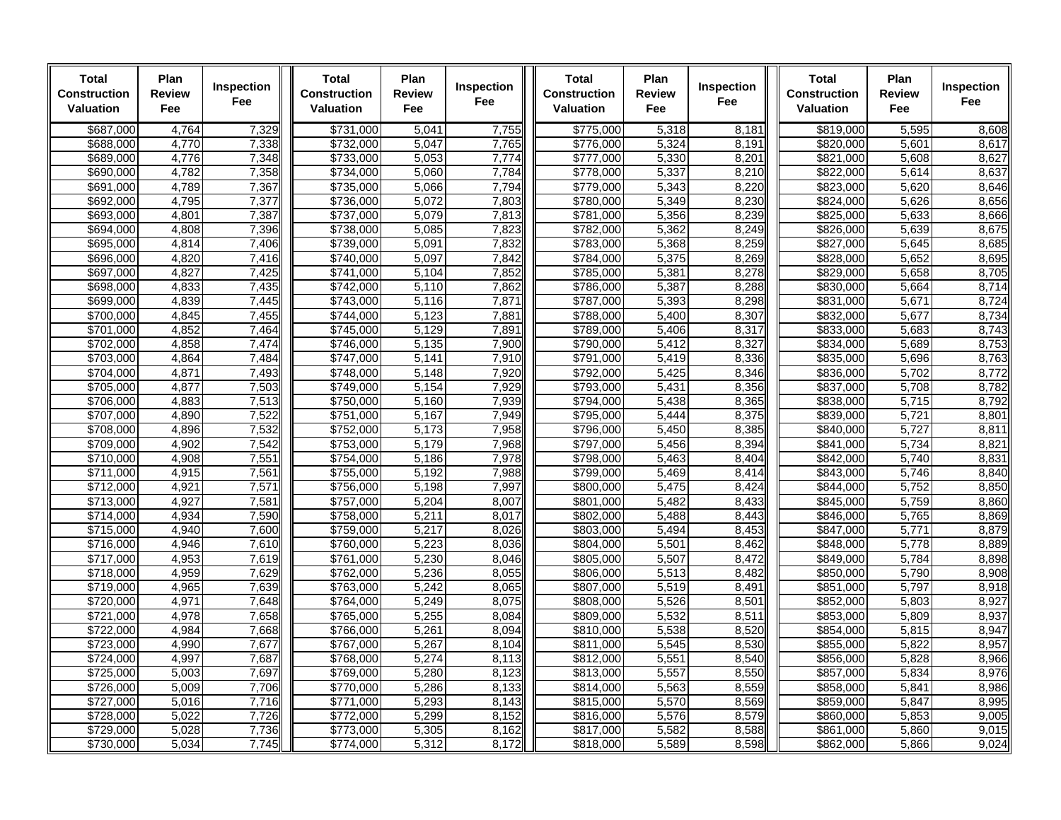| <b>Total</b><br>Construction<br><b>Valuation</b> | Plan<br>Review<br>Fee | Inspection<br><b>Fee</b> | <b>Total</b><br><b>Construction</b><br><b>Valuation</b> | Plan<br><b>Review</b><br>Fee | Inspection<br>Fee | <b>Total</b><br><b>Construction</b><br><b>Valuation</b> | Plan<br><b>Review</b><br>Fee | Inspection<br>Fee | <b>Total</b><br><b>Construction</b><br>Valuation | Plan<br><b>Review</b><br><b>Fee</b> | Inspection<br>Fee |
|--------------------------------------------------|-----------------------|--------------------------|---------------------------------------------------------|------------------------------|-------------------|---------------------------------------------------------|------------------------------|-------------------|--------------------------------------------------|-------------------------------------|-------------------|
| \$687,000                                        | 4,764                 | 7,329                    | \$731,000                                               | 5,041                        | 7,755             | \$775,000                                               | 5,318                        | 8,181             | \$819,000                                        | 5,595                               | 8,608             |
| \$688,000                                        | 4,770                 | 7,338                    | \$732.000                                               | 5.047                        | 7,765             | \$776.000                                               | 5.324                        | 8,191             | \$820,000                                        | 5.601                               | 8.617             |
| \$689,000                                        | 4,776                 | 7,348                    | \$733,000                                               | 5,053                        | 7,774             | \$777,000                                               | 5,330                        | 8,201             | \$821,000                                        | 5,608                               | 8,627             |
| \$690,000                                        | 4,782                 | 7,358                    | \$734,000                                               | 5,060                        | 7,784             | \$778,000                                               | 5,337                        | 8,210             | \$822,000                                        | 5,614                               | 8,637             |
| \$691,000                                        | 4,789                 | 7,367                    | \$735,000                                               | 5,066                        | 7,794             | \$779,000                                               | 5,343                        | 8,220             | \$823,000                                        | 5,620                               | 8,646             |
| \$692,000                                        | 4,795                 | 7,377                    | \$736,000                                               | 5,072                        | 7,803             | \$780,000                                               | 5,349                        | 8,230             | \$824,000                                        | 5,626                               | 8,656             |
| \$693,000                                        | 4,801                 | 7,387                    | \$737,000                                               | 5,079                        | 7,813             | \$781,000                                               | 5,356                        | 8,239             | \$825,000                                        | 5,633                               | 8,666             |
| \$694,000                                        | 4,808                 | 7,396                    | \$738,000                                               | 5,085                        | 7,823             | \$782,000                                               | 5,362                        | 8,249             | \$826,000                                        | 5,639                               | 8,675             |
| \$695,000                                        | 4,814                 | 7,406                    | \$739,000                                               | 5,091                        | 7,832             | \$783,000                                               | 5,368                        | 8,259             | \$827,000                                        | 5,645                               | 8,685             |
| \$696,000                                        | 4,820                 | 7,416                    | \$740,000                                               | 5,097                        | 7,842             | \$784,000                                               | 5,375                        | 8,269             | \$828,000                                        | 5,652                               | 8,695             |
| \$697,000                                        | 4,827                 | 7,425                    | \$741,000                                               | 5,104                        | 7,852             | \$785,000                                               | 5,381                        | 8,278             | \$829,000                                        | 5,658                               | 8,705             |
| \$698,000                                        | 4,833                 | 7,435                    | \$742,000                                               | 5,110                        | 7,862             | \$786.000                                               | 5,387                        | 8,288             | \$830.000                                        | 5,664                               | 8,714             |
| \$699.000                                        | 4,839                 | 7,445                    | \$743,000                                               | 5,116                        | 7,871             | \$787,000                                               | 5,393                        | 8,298             | \$831,000                                        | 5,671                               | 8,724             |
| \$700,000                                        | 4,845                 | 7,455                    | $\sqrt{$744,000}$                                       | 5,123                        | 7,881             | \$788,000                                               | 5,400                        | 8,307             | \$832,000                                        | 5,677                               | 8,734             |
| \$701.000                                        | 4,852                 | 7,464                    | \$745,000                                               | 5,129                        | 7,891             | \$789.000                                               | 5,406                        | 8,317             | \$833.000                                        | 5,683                               | 8,743             |
| \$702,000                                        | 4,858                 | 7,474                    | \$746,000                                               | 5,135                        | 7,900             | \$790.000                                               | 5,412                        | 8,327             | \$834,000                                        | 5,689                               | 8,753             |
| \$703,000                                        | 4,864                 | 7,484                    | \$747,000                                               | 5,141                        | 7,910             | \$791,000                                               | 5,419                        | 8,336             | \$835,000                                        | 5,696                               | 8,763             |
| \$704,000                                        | 4,871                 | 7,493                    | \$748,000                                               | 5,148                        | 7,920             | \$792,000                                               | 5,425                        | 8,346             | \$836,000                                        | 5,702                               | 8,772             |
| \$705,000                                        | 4,877                 | 7,503                    | \$749,000                                               | 5,154                        | 7,929             | \$793,000                                               | 5,431                        | 8,356             | \$837,000                                        | 5,708                               | 8,782             |
| \$706,000                                        | 4,883                 | 7,513                    | \$750,000                                               | 5,160                        | 7,939             | \$794,000                                               | 5,438                        | 8,365             | \$838,000                                        | 5,715                               | 8,792             |
| \$707,000                                        | 4,890                 | 7,522                    | \$751,000                                               | 5,167                        | 7,949             | \$795,000                                               | 5,444                        | 8,375             | \$839,000                                        | 5,721                               | 8,801             |
| \$708,000<br>\$709,000                           | 4.896<br>4,902        | 7,532                    | \$752,000                                               | 5,173<br>5,179               | 7,958             | \$796.000<br>\$797,000                                  | 5.450                        | 8.385<br>8,394    | \$840.000                                        | 5,727                               | 8.811             |
|                                                  | 4,908                 | 7,542                    | \$753,000                                               | 5,186                        | 7,968<br>7,978    |                                                         | 5,456                        | 8,404             | \$841,000                                        | 5,734                               | 8,821<br>8,831    |
| \$710,000                                        |                       | 7,551                    | \$754,000                                               |                              |                   | \$798,000                                               | 5,463                        |                   | \$842,000                                        | 5,740                               |                   |
| \$711,000<br>\$712,000                           | 4,915<br>4,921        | 7,561<br>7,571           | \$755,000<br>\$756,000                                  | 5,192<br>5,198               | 7,988<br>7,997    | \$799,000<br>\$800,000                                  | 5,469<br>5,475               | 8,414<br>8,424    | \$843,000<br>\$844,000                           | 5,746<br>5,752                      | 8,840<br>8,850    |
|                                                  | 4,927                 |                          |                                                         | 5,204                        |                   |                                                         |                              |                   |                                                  | 5,759                               |                   |
| \$713,000<br>\$714,000                           | 4,934                 | 7,581<br>7,590           | \$757,000<br>\$758,000                                  | 5,211                        | 8,007<br>8,017    | \$801,000<br>\$802.000                                  | 5,482<br>5.488               | 8,433<br>8,443    | \$845,000<br>\$846.000                           | 5,765                               | 8,860<br>8,869    |
| \$715,000                                        | 4,940                 | 7,600                    | \$759,000                                               | 5,217                        | 8,026             | \$803,000                                               | 5,494                        | 8,453             | \$847,000                                        | 5,771                               | 8,879             |
| \$716,000                                        | 4,946                 | 7,610                    | \$760,000                                               | 5,223                        | 8,036             | \$804,000                                               | 5,501                        | 8,462             | \$848,000                                        | 5,778                               | 8,889             |
| \$717,000                                        | 4,953                 | 7,619                    | \$761,000                                               | 5,230                        | 8,046             | \$805,000                                               | 5,507                        | 8,472             | \$849,000                                        | 5,784                               | 8,898             |
| \$718,000                                        | 4,959                 | 7,629                    | \$762,000                                               | 5,236                        | 8,055             | \$806,000                                               | 5,513                        | 8,482             | \$850,000                                        | 5,790                               | 8,908             |
| $\frac{1}{19,000}$                               | 4,965                 | 7,639                    | \$763,000                                               | 5,242                        | 8,065             | \$807,000                                               | 5,519                        | 8,491             | \$851,000                                        | 5,797                               | 8,918             |
| \$720,000                                        | 4,971                 | 7,648                    | \$764,000                                               | 5,249                        | 8,075             | \$808,000                                               | 5,526                        | 8,501             | \$852,000                                        | 5,803                               | 8,927             |
| \$721,000                                        | 4,978                 | 7,658                    | \$765,000                                               | 5,255                        | 8,084             | \$809.000                                               | 5,532                        | 8,511             | \$853.000                                        | 5,809                               | 8,937             |
| \$722,000                                        | 4,984                 | 7,668                    | \$766,000                                               | 5,261                        | 8,094             | \$810,000                                               | 5,538                        | 8,520             | \$854,000                                        | 5,815                               | 8,947             |
| \$723,000                                        | 4,990                 | 7,677                    | \$767,000                                               | 5,267                        | 8,104             | \$811,000                                               | 5,545                        | 8,530             | \$855,000                                        | 5,822                               | 8,957             |
| \$724.000                                        | 4,997                 | 7,687                    | \$768,000                                               | 5,274                        | 8,113             | \$812.000                                               | 5,551                        | 8,540             | \$856,000                                        | 5,828                               | 8,966             |
| $\overline{$725,000}$                            | 5,003                 | 7,697                    | \$769,000                                               | 5,280                        | 8,123             | \$813,000                                               | 5,557                        | 8,550             | \$857,000                                        | 5,834                               | 8,976             |
| \$726,000                                        | 5,009                 | 7,706                    | \$770,000                                               | 5,286                        | 8,133             | \$814,000                                               | 5,563                        | 8,559             | \$858,000                                        | 5,841                               | 8,986             |
| \$727,000                                        | 5,016                 | 7,716                    | \$771,000                                               | 5,293                        | 8,143             | \$815,000                                               | 5,570                        | 8,569             | \$859,000                                        | 5,847                               | 8,995             |
| \$728.000                                        | 5,022                 | 7,726                    | \$772.000                                               | 5.299                        | 8,152             | \$816,000                                               | 5,576                        | 8,579             | \$860,000                                        | 5,853                               | 9.005             |
| \$729,000                                        | 5,028                 | 7,736                    | \$773,000                                               | 5,305                        | 8,162             | \$817,000                                               | 5,582                        | 8,588             | \$861,000                                        | 5,860                               | 9,015             |
| \$730,000                                        | 5,034                 | 7,745                    | \$774,000                                               | 5,312                        | 8,172             | \$818,000                                               | 5,589                        | 8,598             | \$862,000                                        | 5,866                               | 9,024             |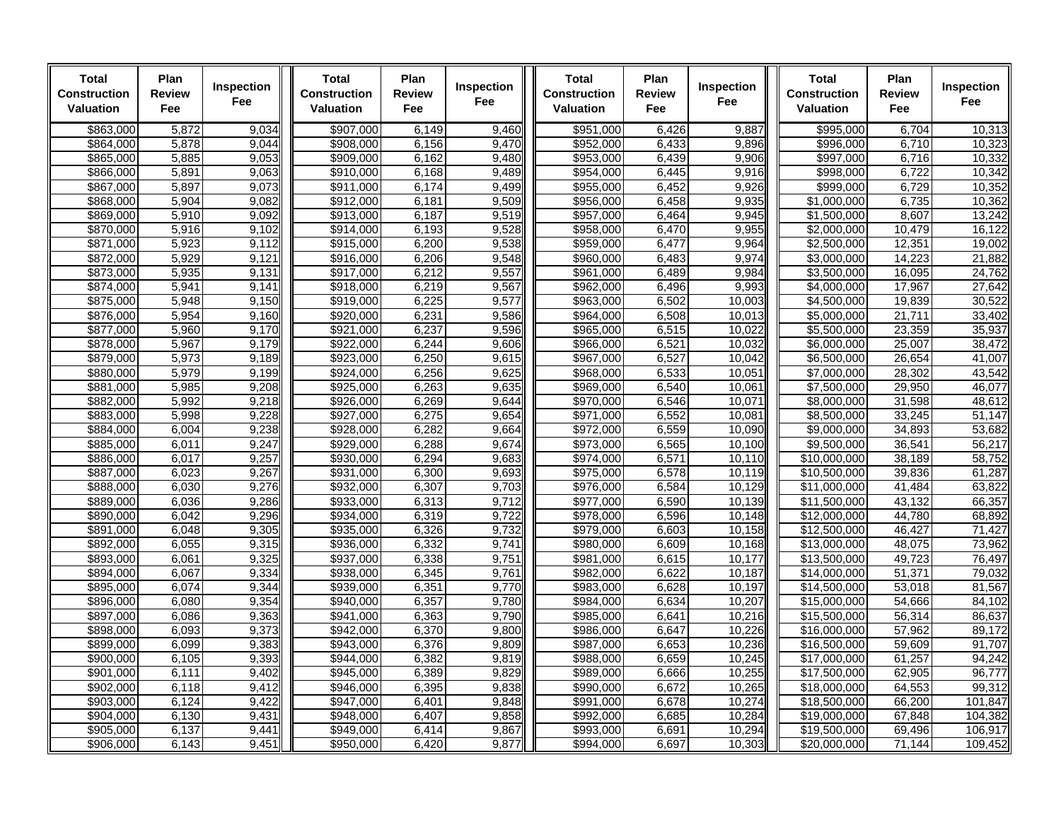| <b>Total</b><br>Construction<br><b>Valuation</b> | Plan<br>Review<br>Fee | Inspection<br><b>Fee</b> | <b>Total</b><br><b>Construction</b><br><b>Valuation</b> | Plan<br><b>Review</b><br>Fee | Inspection<br>Fee | <b>Total</b><br><b>Construction</b><br><b>Valuation</b> | Plan<br><b>Review</b><br>Fee | Inspection<br>Fee | <b>Total</b><br><b>Construction</b><br>Valuation | Plan<br><b>Review</b><br>Fee | Inspection<br>Fee |
|--------------------------------------------------|-----------------------|--------------------------|---------------------------------------------------------|------------------------------|-------------------|---------------------------------------------------------|------------------------------|-------------------|--------------------------------------------------|------------------------------|-------------------|
| \$863,000                                        | 5,872                 | 9,034                    | \$907,000                                               | 6,149                        | 9.460             | \$951,000                                               | 6,426                        | 9,887             | \$995.000                                        | 6,704                        | 10,313            |
| \$864.000                                        | 5,878                 | 9,044                    | \$908,000                                               | 6,156                        | 9,470             | \$952.000                                               | 6,433                        | 9.896             | \$996.000                                        | 6,710                        | 10,323            |
| \$865,000                                        | 5,885                 | 9,053                    | \$909,000                                               | 6,162                        | 9,480             | \$953,000                                               | 6,439                        | 9,906             | \$997,000                                        | 6,716                        | 10,332            |
| \$866,000                                        | 5,891                 | 9,063                    | $\sqrt{$910,000}$                                       | 6,168                        | 9,489             | \$954,000                                               | 6,445                        | 9,916             | \$998,000                                        | 6,722                        | 10,342            |
| \$867,000                                        | 5,897                 | 9,073                    | \$911,000                                               | 6,174                        | 9,499             | \$955,000                                               | 6,452                        | 9,926             | \$999,000                                        | 6,729                        | 10,352            |
| \$868,000                                        | 5,904                 | 9,082                    | \$912,000                                               | 6,181                        | 9,509             | \$956,000                                               | 6,458                        | 9,935             | \$1,000,000                                      | 6,735                        | 10,362            |
| \$869,000                                        | 5,910                 | 9,092                    | \$913,000                                               | 6,187                        | 9,519             | \$957.000                                               | 6,464                        | 9,945             | \$1,500,000                                      | 8.607                        | 13,242            |
| \$870,000                                        | 5,916                 | 9,102                    | \$914,000                                               | 6,193                        | 9,528             | \$958,000                                               | 6,470                        | 9,955             | \$2,000,000                                      | 10,479                       | 16,122            |
| \$871,000                                        | 5,923                 | 9,112                    | \$915,000                                               | 6,200                        | 9,538             | \$959,000                                               | 6,477                        | 9,964             | \$2,500,000                                      | 12,351                       | 19,002            |
| \$872,000                                        | 5,929<br>5,935        | 9,121                    | \$916,000                                               | 6,206                        | 9,548<br>9,557    | \$960,000<br>\$961,000                                  | 6,483                        | 9,974             | \$3,000,000                                      | 14,223<br>16,095             | 21,882<br>24,762  |
| \$873,000<br>\$874,000                           | 5,941                 | 9,131<br>9,141           | \$917,000<br>\$918,000                                  | 6,212<br>6,219               | 9,567             | \$962,000                                               | 6,489<br>6,496               | 9,984<br>9,993    | \$3,500,000<br>\$4,000,000                       | 17,967                       | 27,642            |
| \$875,000                                        | 5,948                 | 9,150                    | \$919,000                                               | 6,225                        | 9,577             | \$963,000                                               | 6,502                        | 10.003            | \$4,500,000                                      | 19,839                       | 30,522            |
| \$876,000                                        | 5,954                 | 9,160                    | \$920,000                                               | 6,231                        | 9,586             | \$964,000                                               | 6,508                        | 10,013            | \$5,000,000                                      | 21,711                       | 33,402            |
| \$877,000                                        | 5,960                 | 9,170                    | \$921,000                                               | 6,237                        | 9,596             | \$965,000                                               | 6,515                        | 10,022            | \$5,500,000                                      | 23,359                       | 35,937            |
| \$878,000                                        | 5,967                 | 9,179                    | \$922,000                                               | 6,244                        | 9,606             | \$966,000                                               | 6,521                        | 10,032            | \$6,000,000                                      | 25,007                       | 38,472            |
| \$879,000                                        | 5,973                 | 9,189                    | \$923,000                                               | 6,250                        | 9,615             | \$967,000                                               | 6,527                        | 10,042            | \$6,500,000                                      | 26,654                       | 41,007            |
| \$880,000                                        | 5,979                 | 9,199                    | \$924,000                                               | 6,256                        | 9,625             | \$968,000                                               | 6,533                        | 10,051            | \$7,000,000                                      | 28,302                       | 43,542            |
| \$881,000                                        | 5,985                 | 9,208                    | \$925,000                                               | 6,263                        | 9,635             | \$969,000                                               | 6,540                        | 10,061            | \$7,500,000                                      | 29,950                       | 46,077            |
| \$882,000                                        | 5,992                 | 9,218                    | \$926,000                                               | 6,269                        | 9,644             | \$970,000                                               | 6,546                        | 10,071            | \$8,000,000                                      | 31,598                       | 48,612            |
| \$883,000                                        | 5,998                 | 9,228                    | \$927,000                                               | 6,275                        | 9,654             | \$971,000                                               | 6,552                        | 10,081            | \$8,500,000                                      | 33,245                       | 51,147            |
| \$884.000                                        | 6,004                 | 9,238                    | \$928,000                                               | 6,282                        | 9,664             | \$972,000                                               | 6,559                        | 10.090            | \$9.000.000                                      | 34,893                       | 53,682            |
| \$885,000                                        | 6,011                 | 9,247                    | \$929,000                                               | 6,288                        | 9,674             | \$973,000                                               | 6,565                        | 10,100            | \$9,500,000                                      | 36,541                       | 56,217            |
| \$886,000                                        | 6,017                 | 9,257                    | \$930,000                                               | 6,294                        | 9,683             | \$974,000                                               | 6,571                        | 10,110            | \$10,000,000                                     | 38,189                       | 58,752            |
| \$887,000                                        | 6,023                 | 9,267                    | \$931,000                                               | 6,300                        | 9,693             | \$975,000                                               | 6,578                        | 10,119            | \$10,500,000                                     | 39,836                       | 61,287            |
| \$888,000                                        | 6,030                 | 9,276                    | \$932,000                                               | 6,307                        | 9,703             | \$976,000                                               | 6,584                        | 10.129            | \$11,000,000                                     | 41,484                       | 63,822            |
| \$889,000                                        | 6,036                 | 9,286                    | \$933,000                                               | 6,313                        | 9,712             | \$977,000                                               | 6,590                        | 10,139            | \$11,500,000                                     | 43,132                       | 66,357            |
| \$890,000                                        | 6,042                 | 9,296                    | \$934,000                                               | 6,319                        | 9,722             | \$978,000                                               | 6,596                        | 10,148            | \$12,000,000                                     | 44,780                       | 68,892            |
| \$891.000                                        | 6,048                 | 9,305                    | \$935,000                                               | 6,326                        | 9,732             | \$979,000                                               | 6,603                        | 10,158            | \$12,500,000                                     | 46,427                       | 71,427            |
| \$892,000                                        | 6,055                 | 9,315                    | \$936,000                                               | 6,332                        | 9,741             | \$980,000                                               | 6,609                        | 10,168            | \$13,000,000                                     | 48,075                       | 73,962            |
| \$893.000                                        | 6.061                 | 9,325                    |                                                         | 6,338                        | 9.751             | \$981.000                                               | 6.615                        | 10.177            | \$13,500,000                                     | 49.723                       | 76,497            |
| \$894,000                                        | 6,067                 | 9,334                    | \$938,000                                               | 6,345                        | 9,761             | \$982,000                                               | 6,622                        | 10,187            | \$14,000,000                                     | 51,371                       | 79,032            |
| \$895,000                                        | 6,074                 | 9,344                    | \$939,000                                               | 6,351                        | 9,770             | \$983,000                                               | 6,628                        | 10,197            | \$14,500,000                                     | 53,018                       | 81,567            |
| \$896,000                                        | 6,080                 | 9,354                    | \$940,000                                               | 6,357<br>6,363               | 9,780<br>9,790    | \$984,000                                               | 6,634                        | 10,207            | \$15,000,000                                     | 54,666                       | 84,102<br>86,637  |
| \$897,000<br>\$898,000                           | 6,086<br>6,093        | 9,363<br>9,373           | \$941,000<br>\$942,000                                  | 6,370                        | 9,800             | \$985,000<br>\$986,000                                  | 6,641<br>6,647               | 10.216<br>10,226  | \$15,500,000<br>$\overline{$16,000,000}$         | 56,314<br>57,962             | 89,172            |
| \$899,000                                        | 6,099                 | 9,383                    | \$943,000                                               | 6,376                        | 9,809             | \$987,000                                               | 6,653                        | 10,236            | \$16,500,000                                     | 59,609                       | 91,707            |
| \$900,000                                        | 6,105                 | 9,393                    | \$944,000                                               | 6,382                        | 9,819             | \$988,000                                               | 6,659                        | 10,245            | \$17,000,000                                     | 61,257                       | 94,242            |
| \$901,000                                        | 6,111                 | 9,402                    | \$945,000                                               | 6,389                        | 9,829             | \$989,000                                               | 6,666                        | 10,255            | \$17,500,000                                     | 62,905                       | 96,777            |
| \$902,000                                        | 6,118                 | 9,412                    | \$946,000                                               | 6,395                        | 9.838             | \$990,000                                               | 6.672                        | 10.265            | \$18,000,000                                     | 64,553                       | 99,312            |
| \$903,000                                        | 6,124                 | 9,422                    | \$947,000                                               | 6,401                        | 9,848             | \$991,000                                               | 6,678                        | 10,274            | \$18,500,000                                     | 66,200                       | 101,847           |
| \$904,000                                        | 6,130                 | 9,431                    | \$948,000                                               | 6,407                        | 9,858             | \$992,000                                               | 6,685                        | 10,284            | \$19,000,000                                     | 67,848                       | 104,382           |
| \$905,000                                        | 6,137                 | 9,441                    | \$949,000                                               | 6,414                        | 9,867             | \$993,000                                               | 6,691                        | 10,294            | \$19,500,000                                     | 69,496                       | 106,917           |
| \$906,000                                        | 6,143                 | 9,451                    | \$950,000                                               | 6,420                        | 9,877             | \$994,000                                               | 6,697                        | 10,303            | \$20,000,000                                     | 71,144                       | 109,452           |